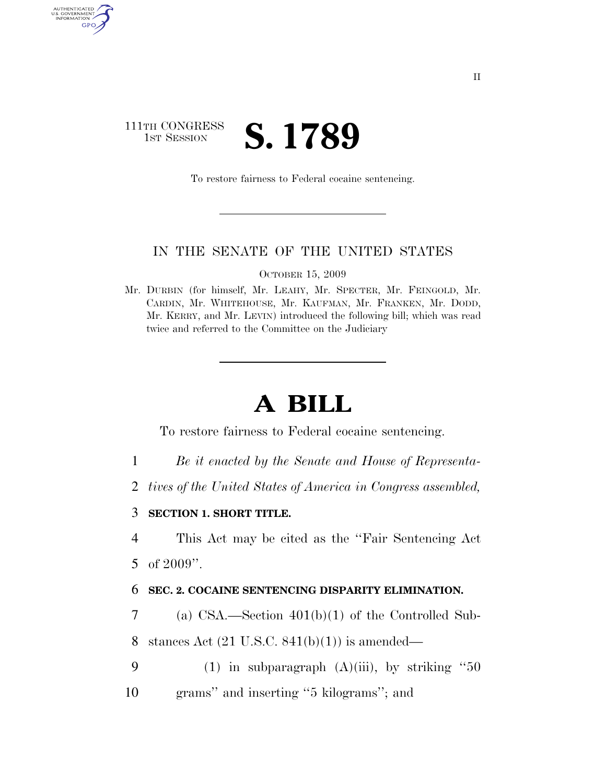# 111TH CONGRESS **IST SESSION S. 1789**

AUTHENTICATED<br>U.S. GOVERNMENT<br>INFORMATION GPO

To restore fairness to Federal cocaine sentencing.

## IN THE SENATE OF THE UNITED STATES

OCTOBER 15, 2009

Mr. DURBIN (for himself, Mr. LEAHY, Mr. SPECTER, Mr. FEINGOLD, Mr. CARDIN, Mr. WHITEHOUSE, Mr. KAUFMAN, Mr. FRANKEN, Mr. DODD, Mr. KERRY, and Mr. LEVIN) introduced the following bill; which was read twice and referred to the Committee on the Judiciary

# **A BILL**

To restore fairness to Federal cocaine sentencing.

- 1 *Be it enacted by the Senate and House of Representa-*
- 2 *tives of the United States of America in Congress assembled,*
- 3 **SECTION 1. SHORT TITLE.**

4 This Act may be cited as the ''Fair Sentencing Act 5 of 2009''.

#### 6 **SEC. 2. COCAINE SENTENCING DISPARITY ELIMINATION.**

7 (a) CSA.—Section 401(b)(1) of the Controlled Sub-

8 stances Act  $(21 \text{ U.S.C. } 841(b)(1))$  is amended—

- 9 (1) in subparagraph  $(A)(iii)$ , by striking "50
- 10 grams'' and inserting ''5 kilograms''; and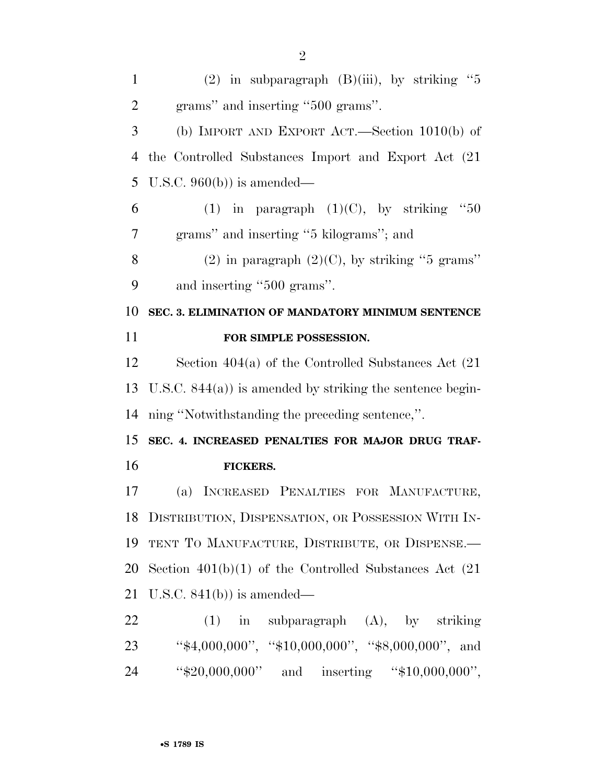| $\mathbf{1}$   | (2) in subparagraph $(B)(iii)$ , by striking "5              |
|----------------|--------------------------------------------------------------|
| $\overline{2}$ | grams" and inserting "500 grams".                            |
| 3              | (b) IMPORT AND EXPORT ACT.—Section $1010(b)$ of              |
| 4              | the Controlled Substances Import and Export Act (21)         |
| 5              | U.S.C. $960(b)$ is amended—                                  |
| 6              | (1) in paragraph $(1)(C)$ , by striking<br>$\cdot$ 60        |
| 7              | grams" and inserting "5 kilograms"; and                      |
| 8              | $(2)$ in paragraph $(2)(C)$ , by striking "5 grams"          |
| 9              | and inserting "500 grams".                                   |
| 10             | SEC. 3. ELIMINATION OF MANDATORY MINIMUM SENTENCE            |
| 11             | FOR SIMPLE POSSESSION.                                       |
| 12             | Section $404(a)$ of the Controlled Substances Act $(21)$     |
|                |                                                              |
| 13             | U.S.C. $844(a)$ ) is amended by striking the sentence begin- |
| 14             | ning "Notwithstanding the preceding sentence,".              |
| 15             | SEC. 4. INCREASED PENALTIES FOR MAJOR DRUG TRAF-             |
| 16             | <b>FICKERS.</b>                                              |
| 17             | (a) INCREASED PENALTIES FOR MANUFACTURE,                     |
| 18             | DISTRIBUTION, DISPENSATION, OR POSSESSION WITH IN-           |
| 19             | TENT TO MANUFACTURE, DISTRIBUTE, OR DISPENSE.                |
| 20             | Section $401(b)(1)$ of the Controlled Substances Act $(21)$  |
| 21             | U.S.C. $841(b)$ is amended—                                  |
| 22             | $(1)$ in subparagraph $(A)$ , by striking                    |
| 23             | " $*4,000,000$ ", " $*10,000,000$ ", " $*8,000,000$ ", and   |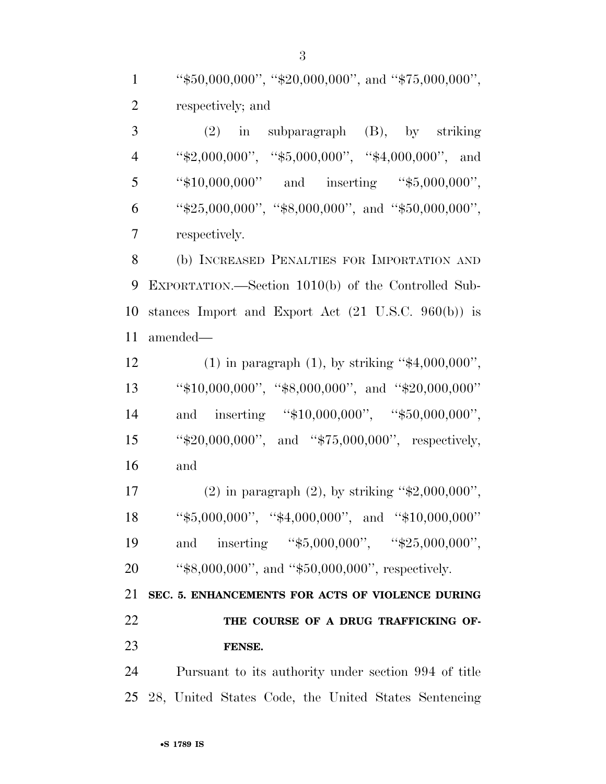1 ''\$50,000,000'', ''\$20,000,000'', and ''\$75,000,000'', respectively; and

 (2) in subparagraph (B), by striking 4 "\$2,000,000", "\$5,000,000", "\$4,000,000", and 5 "\$10,000,000" and inserting "\$5,000,000", 6 "\$25,000,000", "\$8,000,000", and "\$50,000,000", respectively.

 (b) INCREASED PENALTIES FOR IMPORTATION AND EXPORTATION.—Section 1010(b) of the Controlled Sub- stances Import and Export Act (21 U.S.C. 960(b)) is amended—

12 (1) in paragraph (1), by striking " $$4,000,000$ ", ''\$10,000,000'', ''\$8,000,000'', and ''\$20,000,000'' 14 and inserting "\$10,000,000", "\$50,000,000", ''\$20,000,000'', and ''\$75,000,000'', respectively, and

 (2) in paragraph (2), by striking ''\$2,000,000'', ''\$5,000,000'', ''\$4,000,000'', and ''\$10,000,000'' 19 and inserting "\$5,000,000", "\$25,000,000", 20 "\$8,000,000", and "\$50,000,000", respectively.

 **SEC. 5. ENHANCEMENTS FOR ACTS OF VIOLENCE DURING THE COURSE OF A DRUG TRAFFICKING OF-FENSE.** 

 Pursuant to its authority under section 994 of title 28, United States Code, the United States Sentencing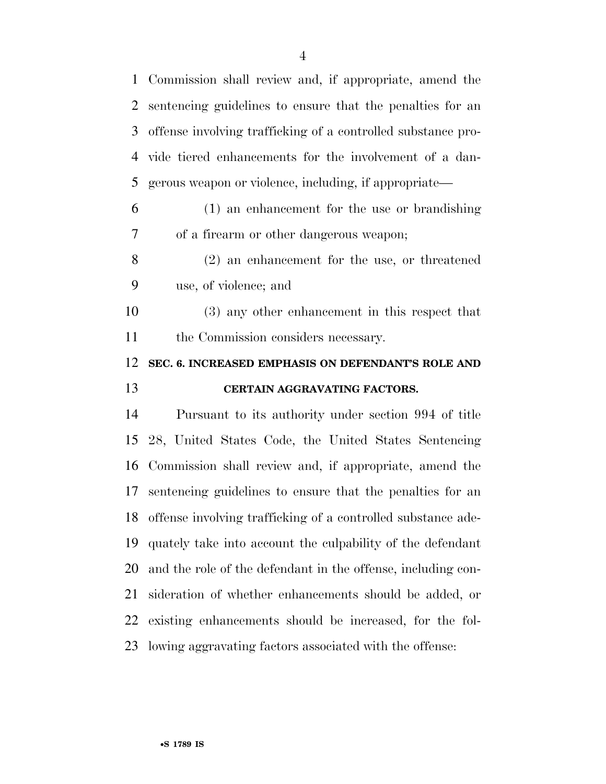| 1  | Commission shall review and, if appropriate, amend the          |
|----|-----------------------------------------------------------------|
| 2  | sentencing guidelines to ensure that the penalties for an       |
| 3  | offense involving trafficking of a controlled substance pro-    |
| 4  | vide tiered enhancements for the involvement of a dan-          |
| 5  | gerous weapon or violence, including, if appropriate—           |
| 6  | (1) an enhancement for the use or brandishing                   |
| 7  | of a firearm or other dangerous weapon;                         |
| 8  | $(2)$ an enhancement for the use, or threatened                 |
| 9  | use, of violence; and                                           |
| 10 | (3) any other enhancement in this respect that                  |
| 11 | the Commission considers necessary.                             |
|    |                                                                 |
| 12 | SEC. 6. INCREASED EMPHASIS ON DEFENDANT'S ROLE AND              |
| 13 | CERTAIN AGGRAVATING FACTORS.                                    |
| 14 | Pursuant to its authority under section 994 of title            |
| 15 | 28, United States Code, the United States Sentencing            |
| 16 | Commission shall review and, if appropriate, amend the          |
| 17 | sentencing guidelines to ensure that the penalties for an       |
|    | 18 offense involving trafficking of a controlled substance ade- |
| 19 | quately take into account the culpability of the defendant      |
| 20 | and the role of the defendant in the offense, including con-    |
| 21 | sideration of whether enhancements should be added, or          |
| 22 | existing enhancements should be increased, for the fol-         |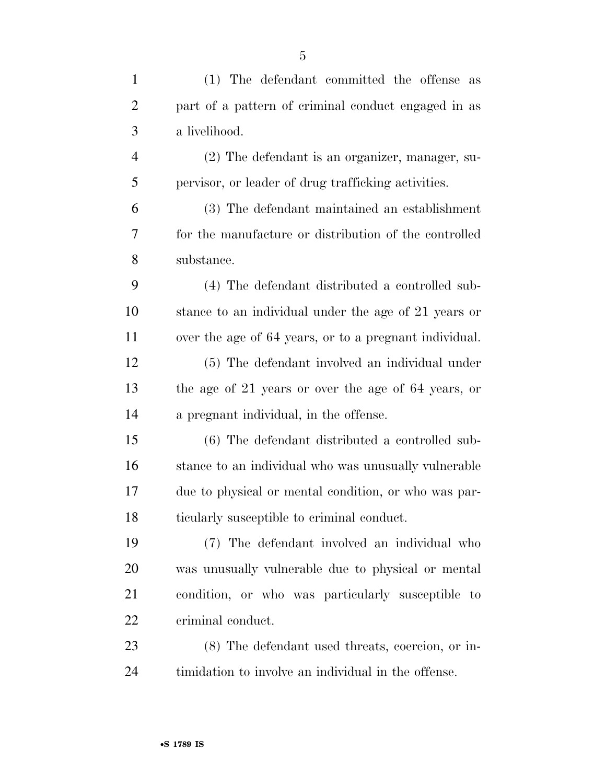(2) The defendant is an organizer, manager, su-pervisor, or leader of drug trafficking activities.

a livelihood.

 (3) The defendant maintained an establishment for the manufacture or distribution of the controlled substance.

 (4) The defendant distributed a controlled sub- stance to an individual under the age of 21 years or over the age of 64 years, or to a pregnant individual.

 (5) The defendant involved an individual under the age of 21 years or over the age of 64 years, or a pregnant individual, in the offense.

 (6) The defendant distributed a controlled sub- stance to an individual who was unusually vulnerable due to physical or mental condition, or who was par-ticularly susceptible to criminal conduct.

 (7) The defendant involved an individual who was unusually vulnerable due to physical or mental condition, or who was particularly susceptible to criminal conduct.

 (8) The defendant used threats, coercion, or in-timidation to involve an individual in the offense.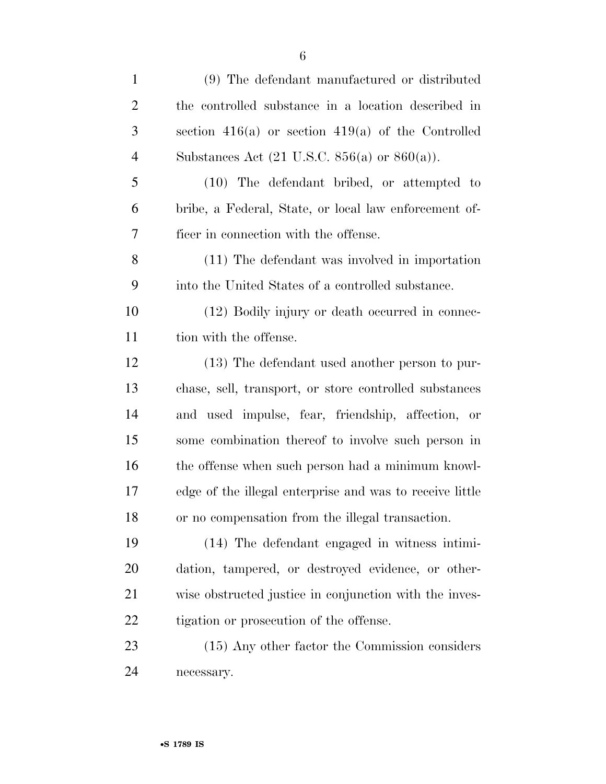| $\mathbf{1}$   | (9) The defendant manufactured or distributed                     |
|----------------|-------------------------------------------------------------------|
| $\overline{2}$ | the controlled substance in a location described in               |
| 3              | section $416(a)$ or section $419(a)$ of the Controlled            |
| $\overline{4}$ | Substances Act $(21 \text{ U.S.C. } 856(a) \text{ or } 860(a))$ . |
| 5              | $(10)$ The defendant bribed, or attempted to                      |
| 6              | bribe, a Federal, State, or local law enforcement of-             |
| 7              | ficer in connection with the offense.                             |
| 8              | (11) The defendant was involved in importation                    |
| 9              | into the United States of a controlled substance.                 |
| 10             | (12) Bodily injury or death occurred in connec-                   |
| 11             | tion with the offense.                                            |
| 12             | (13) The defendant used another person to pur-                    |
| 13             | chase, sell, transport, or store controlled substances            |
| 14             | and used impulse, fear, friendship, affection, or                 |
| 15             | some combination thereof to involve such person in                |
| 16             | the offense when such person had a minimum knowl-                 |
| 17             | edge of the illegal enterprise and was to receive little          |
| 18             | or no compensation from the illegal transaction.                  |
| 19             | (14) The defendant engaged in witness in timi-                    |
| 20             | dation, tampered, or destroyed evidence, or other-                |
| 21             | wise obstructed justice in conjunction with the inves-            |
| 22             | tigation or prosecution of the offense.                           |
| 23             | (15) Any other factor the Commission considers                    |
| 24             | necessary.                                                        |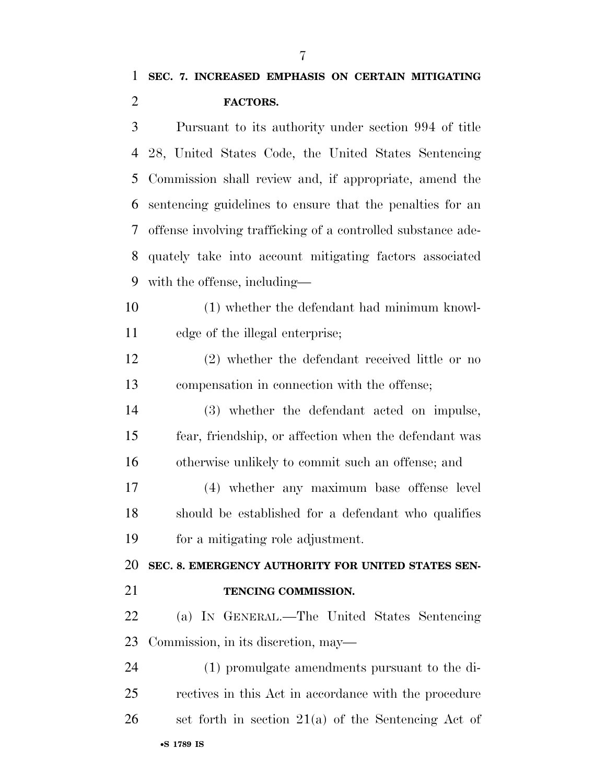Pursuant to its authority under section 994 of title 28, United States Code, the United States Sentencing Commission shall review and, if appropriate, amend the sentencing guidelines to ensure that the penalties for an offense involving trafficking of a controlled substance ade- quately take into account mitigating factors associated with the offense, including—

- (1) whether the defendant had minimum knowl-edge of the illegal enterprise;
- (2) whether the defendant received little or no compensation in connection with the offense;
- (3) whether the defendant acted on impulse, fear, friendship, or affection when the defendant was otherwise unlikely to commit such an offense; and
- (4) whether any maximum base offense level should be established for a defendant who qualifies for a mitigating role adjustment.

**SEC. 8. EMERGENCY AUTHORITY FOR UNITED STATES SEN-**

- **TENCING COMMISSION.**
- (a) IN GENERAL.—The United States Sentencing Commission, in its discretion, may—

•**S 1789 IS** (1) promulgate amendments pursuant to the di- rectives in this Act in accordance with the procedure set forth in section 21(a) of the Sentencing Act of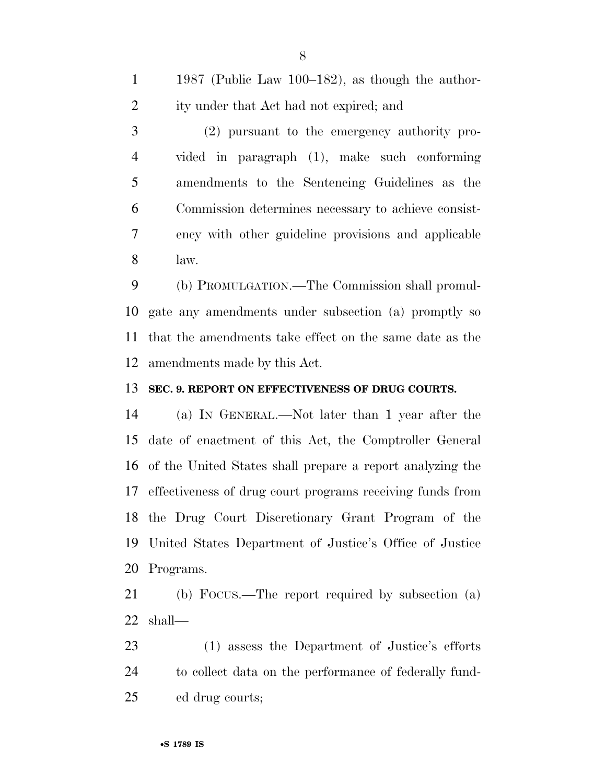1987 (Public Law 100–182), as though the author- ity under that Act had not expired; and (2) pursuant to the emergency authority pro- vided in paragraph (1), make such conforming amendments to the Sentencing Guidelines as the Commission determines necessary to achieve consist-ency with other guideline provisions and applicable

law.

 (b) PROMULGATION.—The Commission shall promul- gate any amendments under subsection (a) promptly so that the amendments take effect on the same date as the amendments made by this Act.

## **SEC. 9. REPORT ON EFFECTIVENESS OF DRUG COURTS.**

 (a) IN GENERAL.—Not later than 1 year after the date of enactment of this Act, the Comptroller General of the United States shall prepare a report analyzing the effectiveness of drug court programs receiving funds from the Drug Court Discretionary Grant Program of the United States Department of Justice's Office of Justice Programs.

 (b) FOCUS.—The report required by subsection (a) shall—

 (1) assess the Department of Justice's efforts to collect data on the performance of federally fund-ed drug courts;